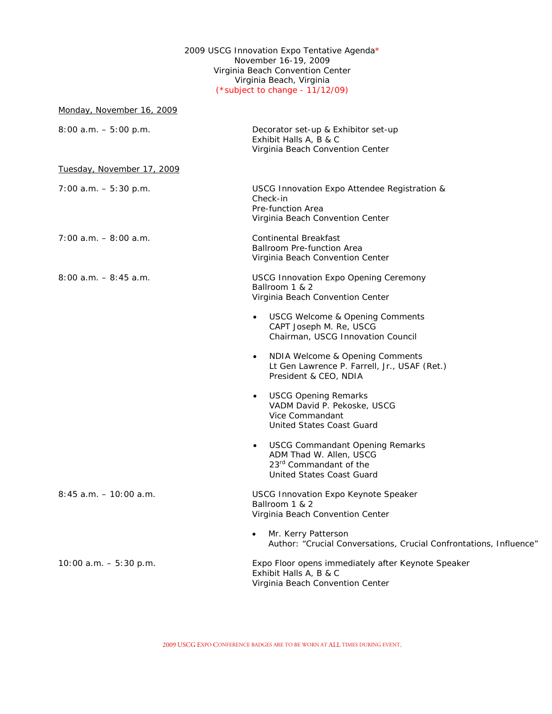## 2009 USCG Innovation Expo Tentative Agenda\* November 16-19, 2009 Virginia Beach Convention Center Virginia Beach, Virginia *(\*subject to change - 11/12/09)*

| Monday, November 16, 2009  |                                                                                                                                                          |
|----------------------------|----------------------------------------------------------------------------------------------------------------------------------------------------------|
| $8:00$ a.m. $-5:00$ p.m.   | Decorator set-up & Exhibitor set-up<br>Exhibit Halls A, B & C<br>Virginia Beach Convention Center                                                        |
| Tuesday, November 17, 2009 |                                                                                                                                                          |
| $7:00$ a.m. $-5:30$ p.m.   | USCG Innovation Expo Attendee Registration &<br>Check-in<br>Pre-function Area<br>Virginia Beach Convention Center                                        |
| $7:00$ a.m. $-8:00$ a.m.   | Continental Breakfast<br><b>Ballroom Pre-function Area</b><br>Virginia Beach Convention Center                                                           |
| $8:00$ a.m. $-8:45$ a.m.   | <b>USCG Innovation Expo Opening Ceremony</b><br>Ballroom 1 & 2<br>Virginia Beach Convention Center                                                       |
|                            | <b>USCG Welcome &amp; Opening Comments</b><br>$\bullet$<br>CAPT Joseph M. Re, USCG<br>Chairman, USCG Innovation Council                                  |
|                            | NDIA Welcome & Opening Comments<br>$\bullet$<br>Lt Gen Lawrence P. Farrell, Jr., USAF (Ret.)<br>President & CEO, NDIA                                    |
|                            | <b>USCG Opening Remarks</b><br>$\bullet$<br>VADM David P. Pekoske, USCG<br>Vice Commandant<br>United States Coast Guard                                  |
|                            | <b>USCG Commandant Opening Remarks</b><br>$\bullet$<br>ADM Thad W. Allen, USCG<br>23 <sup>rd</sup> Commandant of the<br><b>United States Coast Guard</b> |
| $8:45$ a.m. $-10:00$ a.m.  | USCG Innovation Expo Keynote Speaker<br>Ballroom 1 & 2<br>Virginia Beach Convention Center                                                               |
|                            | Mr. Kerry Patterson<br>Author: "Crucial Conversations, Crucial Confrontations, Influence"                                                                |
| 10:00 a.m. $-5:30$ p.m.    | Expo Floor opens immediately after Keynote Speaker<br>Exhibit Halls A, B & C<br>Virginia Beach Convention Center                                         |
|                            |                                                                                                                                                          |

2009 USCG EXPO CONFERENCE BADGES ARE TO BE WORN AT ALL TIMES DURING EVENT.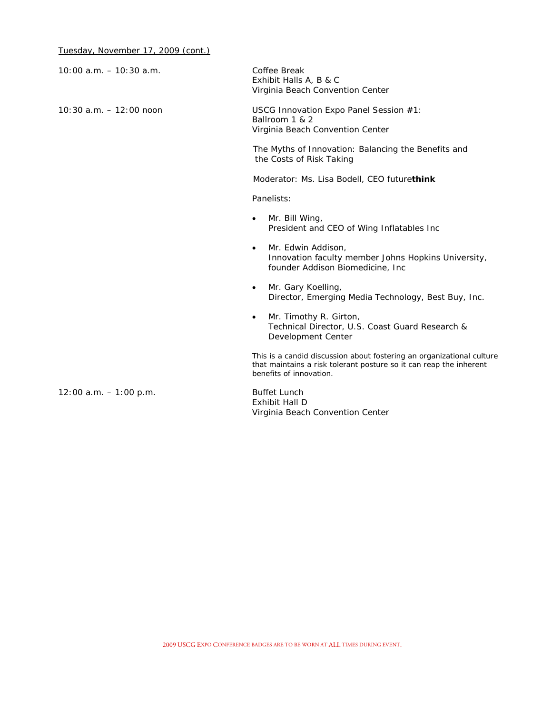| $10:00$ a.m. $-10:30$ a.m. | Coffee Break<br>Exhibit Halls A, B & C<br>Virginia Beach Convention Center                                                                                             |
|----------------------------|------------------------------------------------------------------------------------------------------------------------------------------------------------------------|
| $10:30$ a.m. $-12:00$ noon | USCG Innovation Expo Panel Session #1:<br>Ballroom 1 & 2<br>Virginia Beach Convention Center                                                                           |
|                            | The Myths of Innovation: Balancing the Benefits and<br>the Costs of Risk Taking                                                                                        |
|                            | Moderator: Ms. Lisa Bodell, CEO futurethink                                                                                                                            |
|                            | Panelists:                                                                                                                                                             |
|                            | Mr. Bill Wing,<br>$\bullet$<br>President and CEO of Wing Inflatables Inc                                                                                               |
|                            | Mr. Edwin Addison,<br>$\bullet$<br>Innovation faculty member Johns Hopkins University,<br>founder Addison Biomedicine, Inc                                             |
|                            | Mr. Gary Koelling,<br>$\bullet$<br>Director, Emerging Media Technology, Best Buy, Inc.                                                                                 |
|                            | Mr. Timothy R. Girton,<br>$\bullet$<br>Technical Director, U.S. Coast Guard Research &<br>Development Center                                                           |
|                            | This is a candid discussion about fostering an organizational culture<br>that maintains a risk tolerant posture so it can reap the inherent<br>benefits of innovation. |
| $12:00$ a.m. $-1:00$ p.m.  | <b>Buffet Lunch</b><br>Exhibit Hall D<br>Virginia Beach Convention Center                                                                                              |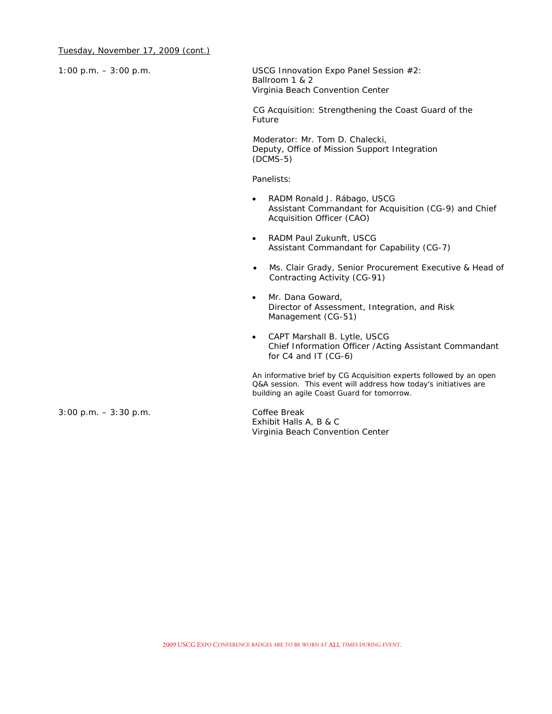| $1:00$ p.m. $-3:00$ p.m. | USCG Innovation Expo Panel Session #2:<br>Ballroom 1 & 2<br>Virginia Beach Convention Center                                                                                          |
|--------------------------|---------------------------------------------------------------------------------------------------------------------------------------------------------------------------------------|
|                          | CG Acquisition: Strengthening the Coast Guard of the<br>Future                                                                                                                        |
|                          | Moderator: Mr. Tom D. Chalecki,<br>Deputy, Office of Mission Support Integration<br>$(DCMS-5)$                                                                                        |
|                          | Panelists:                                                                                                                                                                            |
|                          | RADM Ronald J. Rábago, USCG<br>Assistant Commandant for Acquisition (CG-9) and Chief<br>Acquisition Officer (CAO)                                                                     |
|                          | RADM Paul Zukunft, USCG<br>$\bullet$<br>Assistant Commandant for Capability (CG-7)                                                                                                    |
|                          | Ms. Clair Grady, Senior Procurement Executive & Head of<br>$\bullet$<br>Contracting Activity (CG-91)                                                                                  |
|                          | Mr. Dana Goward,<br>$\bullet$<br>Director of Assessment, Integration, and Risk<br>Management (CG-51)                                                                                  |
|                          | CAPT Marshall B. Lytle, USCG<br>$\bullet$<br>Chief Information Officer / Acting Assistant Commandant<br>for C4 and IT (CG-6)                                                          |
|                          | An informative brief by CG Acquisition experts followed by an open<br>Q&A session. This event will address how today's initiatives are<br>building an agile Coast Guard for tomorrow. |
| $3:00$ p.m. $-3:30$ p.m. | Coffee Break<br>Exhibit Halls A, B & C                                                                                                                                                |

Virginia Beach Convention Center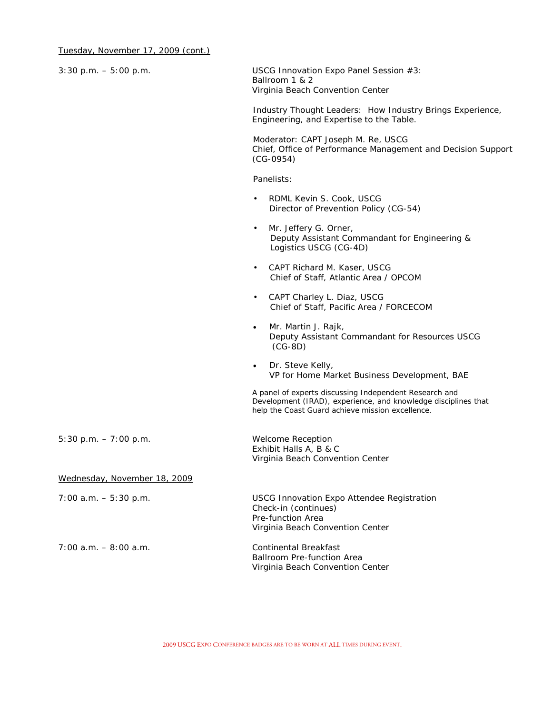| $3:30$ p.m. $-5:00$ p.m.     | USCG Innovation Expo Panel Session #3:<br>Ballroom 1 & 2<br>Virginia Beach Convention Center                                                                                 |  |  |
|------------------------------|------------------------------------------------------------------------------------------------------------------------------------------------------------------------------|--|--|
|                              | Industry Thought Leaders: How Industry Brings Experience,<br>Engineering, and Expertise to the Table.                                                                        |  |  |
|                              | Moderator: CAPT Joseph M. Re, USCG<br>Chief, Office of Performance Management and Decision Support<br>$(CG-0954)$                                                            |  |  |
|                              | Panelists:                                                                                                                                                                   |  |  |
|                              | RDML Kevin S. Cook, USCG<br>$\bullet$<br>Director of Prevention Policy (CG-54)                                                                                               |  |  |
|                              | Mr. Jeffery G. Orner,<br>$\bullet$<br>Deputy Assistant Commandant for Engineering &<br>Logistics USCG (CG-4D)                                                                |  |  |
|                              | CAPT Richard M. Kaser, USCG<br>$\bullet$<br>Chief of Staff, Atlantic Area / OPCOM                                                                                            |  |  |
|                              | CAPT Charley L. Diaz, USCG<br>$\bullet$<br>Chief of Staff, Pacific Area / FORCECOM                                                                                           |  |  |
|                              | Mr. Martin J. Rajk,<br>$\bullet$<br>Deputy Assistant Commandant for Resources USCG<br>$(CG-8D)$                                                                              |  |  |
|                              | Dr. Steve Kelly,<br>$\bullet$<br>VP for Home Market Business Development, BAE                                                                                                |  |  |
|                              | A panel of experts discussing Independent Research and<br>Development (IRAD), experience, and knowledge disciplines that<br>help the Coast Guard achieve mission excellence. |  |  |
| $5:30$ p.m. $-7:00$ p.m.     | <b>Welcome Reception</b><br>Exhibit Halls A, B & C<br>Virginia Beach Convention Center                                                                                       |  |  |
| Wednesday, November 18, 2009 |                                                                                                                                                                              |  |  |
| $7:00$ a.m. $-5:30$ p.m.     | USCG Innovation Expo Attendee Registration<br>Check-in (continues)<br>Pre-function Area<br>Virginia Beach Convention Center                                                  |  |  |
| $7:00$ a.m. $-8:00$ a.m.     | <b>Continental Breakfast</b><br>Ballroom Pre-function Area<br>Virginia Beach Convention Center                                                                               |  |  |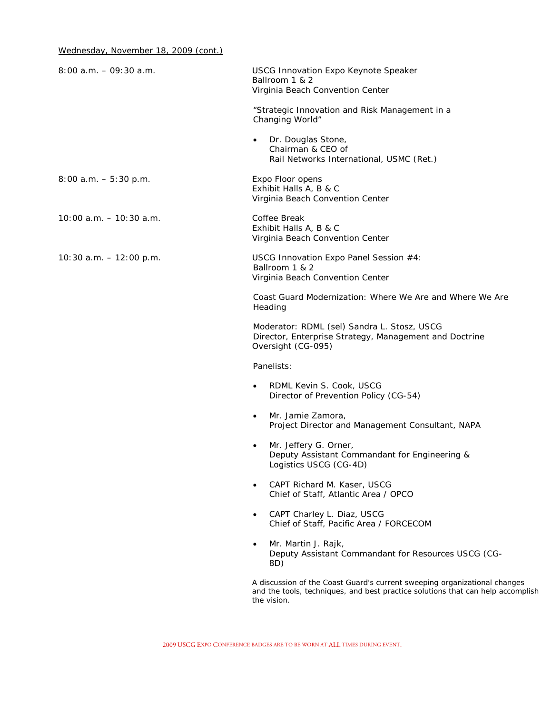| $8:00$ a.m. $-09:30$ a.m. | <b>USCG Innovation Expo Keynote Speaker</b><br>Ballroom 1 & 2<br>Virginia Beach Convention Center                                                                           |
|---------------------------|-----------------------------------------------------------------------------------------------------------------------------------------------------------------------------|
|                           | "Strategic Innovation and Risk Management in a<br>Changing World"                                                                                                           |
|                           | Dr. Douglas Stone,<br>$\bullet$<br>Chairman & CEO of<br>Rail Networks International, USMC (Ret.)                                                                            |
| $8:00$ a.m. $-5:30$ p.m.  | Expo Floor opens<br>Exhibit Halls A, B & C<br>Virginia Beach Convention Center                                                                                              |
| 10:00 a.m. - 10:30 a.m.   | Coffee Break<br>Exhibit Halls A, B & C<br>Virginia Beach Convention Center                                                                                                  |
| 10:30 a.m. $- 12:00$ p.m. | USCG Innovation Expo Panel Session #4:<br>Ballroom 1 & 2<br>Virginia Beach Convention Center                                                                                |
|                           | Coast Guard Modernization: Where We Are and Where We Are<br>Heading                                                                                                         |
|                           | Moderator: RDML (sel) Sandra L. Stosz, USCG<br>Director, Enterprise Strategy, Management and Doctrine<br>Oversight (CG-095)                                                 |
|                           | Panelists:                                                                                                                                                                  |
|                           | RDML Kevin S. Cook, USCG<br>$\bullet$<br>Director of Prevention Policy (CG-54)                                                                                              |
|                           | Mr. Jamie Zamora,<br>$\bullet$<br>Project Director and Management Consultant, NAPA                                                                                          |
|                           | Mr. Jeffery G. Orner,<br>$\bullet$<br>Deputy Assistant Commandant for Engineering &<br>Logistics USCG (CG-4D)                                                               |
|                           | CAPT Richard M. Kaser, USCG<br>Chief of Staff, Atlantic Area / OPCO                                                                                                         |
|                           | CAPT Charley L. Diaz, USCG<br>$\bullet$<br>Chief of Staff, Pacific Area / FORCECOM                                                                                          |
|                           | Mr. Martin J. Rajk,<br>Deputy Assistant Commandant for Resources USCG (CG-<br>8D)                                                                                           |
|                           | A discussion of the Coast Guard's current sweeping organizational changes<br>and the tools, techniques, and best practice solutions that can help accomplish<br>the vision. |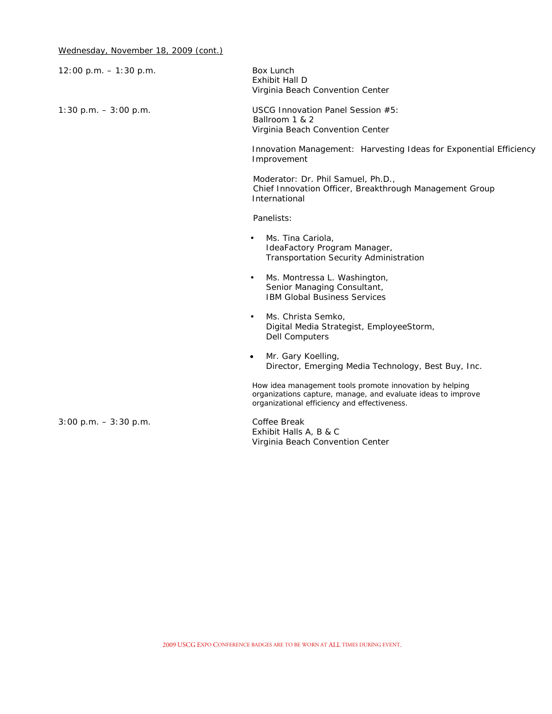| $12:00$ p.m. $-1:30$ p.m. | Box Lunch<br><b>Exhibit Hall D</b><br>Virginia Beach Convention Center                                                                                                  |
|---------------------------|-------------------------------------------------------------------------------------------------------------------------------------------------------------------------|
| $1:30$ p.m. $-3:00$ p.m.  | USCG Innovation Panel Session #5:<br>Ballroom 1 & 2<br>Virginia Beach Convention Center                                                                                 |
|                           | Innovation Management: Harvesting Ideas for Exponential Efficiency<br>Improvement                                                                                       |
|                           | Moderator: Dr. Phil Samuel, Ph.D.,<br>Chief Innovation Officer, Breakthrough Management Group<br>International                                                          |
|                           | Panelists:                                                                                                                                                              |
|                           | Ms. Tina Cariola,<br>$\bullet$<br>IdeaFactory Program Manager,<br>Transportation Security Administration                                                                |
|                           | Ms. Montressa L. Washington,<br>$\bullet$<br>Senior Managing Consultant,<br><b>IBM Global Business Services</b>                                                         |
|                           | Ms. Christa Semko,<br>$\bullet$<br>Digital Media Strategist, EmployeeStorm,<br><b>Dell Computers</b>                                                                    |
|                           | Mr. Gary Koelling,<br>$\bullet$<br>Director, Emerging Media Technology, Best Buy, Inc.                                                                                  |
|                           | How idea management tools promote innovation by helping<br>organizations capture, manage, and evaluate ideas to improve<br>organizational efficiency and effectiveness. |
| $3:00$ p.m. $-3:30$ p.m.  | Coffee Break<br>Exhibit Halls A, B & C<br>Virginia Beach Convention Center                                                                                              |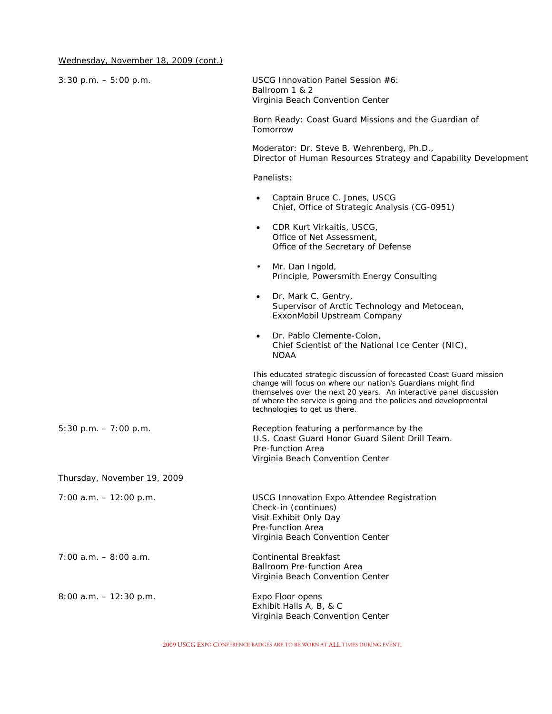| $3:30$ p.m. $-5:00$ p.m.    | USCG Innovation Panel Session #6:<br>Ballroom 1 & 2<br>Virginia Beach Convention Center                                                                                                                                                                                                                         |
|-----------------------------|-----------------------------------------------------------------------------------------------------------------------------------------------------------------------------------------------------------------------------------------------------------------------------------------------------------------|
|                             | Born Ready: Coast Guard Missions and the Guardian of<br>Tomorrow                                                                                                                                                                                                                                                |
|                             | Moderator: Dr. Steve B. Wehrenberg, Ph.D.,<br>Director of Human Resources Strategy and Capability Development                                                                                                                                                                                                   |
|                             | Panelists:                                                                                                                                                                                                                                                                                                      |
|                             | Captain Bruce C. Jones, USCG<br>$\bullet$<br>Chief, Office of Strategic Analysis (CG-0951)                                                                                                                                                                                                                      |
|                             | CDR Kurt Virkaitis, USCG,<br>$\bullet$<br>Office of Net Assessment,<br>Office of the Secretary of Defense                                                                                                                                                                                                       |
|                             | Mr. Dan Ingold,<br>$\bullet$<br>Principle, Powersmith Energy Consulting                                                                                                                                                                                                                                         |
|                             | Dr. Mark C. Gentry,<br>$\bullet$<br>Supervisor of Arctic Technology and Metocean,<br>ExxonMobil Upstream Company                                                                                                                                                                                                |
|                             | Dr. Pablo Clemente-Colon,<br>$\bullet$<br>Chief Scientist of the National Ice Center (NIC),<br><b>NOAA</b>                                                                                                                                                                                                      |
|                             | This educated strategic discussion of forecasted Coast Guard mission<br>change will focus on where our nation's Guardians might find<br>themselves over the next 20 years. An interactive panel discussion<br>of where the service is going and the policies and developmental<br>technologies to get us there. |
| $5:30$ p.m. $-7:00$ p.m.    | Reception featuring a performance by the<br>U.S. Coast Guard Honor Guard Silent Drill Team.<br>Pre-function Area<br>Virginia Beach Convention Center                                                                                                                                                            |
| Thursday, November 19, 2009 |                                                                                                                                                                                                                                                                                                                 |
| $7:00$ a.m. $-12:00$ p.m.   | <b>USCG Innovation Expo Attendee Registration</b><br>Check-in (continues)<br>Visit Exhibit Only Day<br>Pre-function Area<br>Virginia Beach Convention Center                                                                                                                                                    |
| $7:00$ a.m. $-8:00$ a.m.    | Continental Breakfast<br><b>Ballroom Pre-function Area</b><br>Virginia Beach Convention Center                                                                                                                                                                                                                  |
| $8:00$ a.m. $-12:30$ p.m.   | Expo Floor opens<br>Exhibit Halls A, B, & C<br>Virginia Beach Convention Center                                                                                                                                                                                                                                 |

2009 USCG EXPO CONFERENCE BADGES ARE TO BE WORN AT ALL TIMES DURING EVENT.